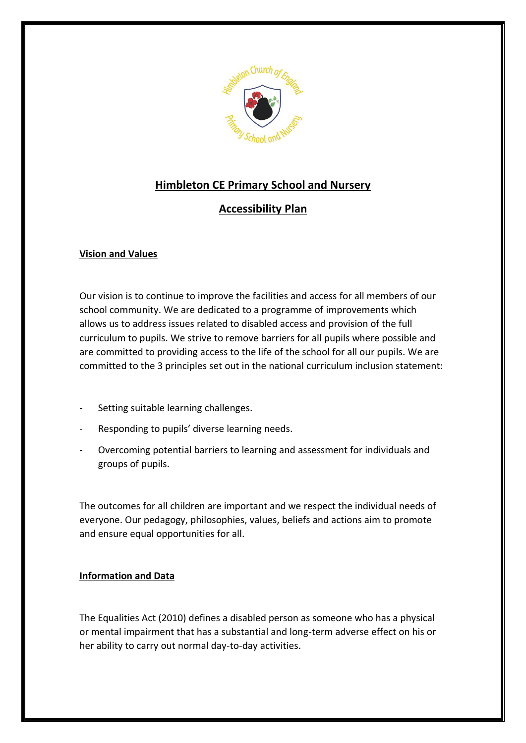

# **Himbleton CE Primary School and Nursery**

# **Accessibility Plan**

## **Vision and Values**

Our vision is to continue to improve the facilities and access for all members of our school community. We are dedicated to a programme of improvements which allows us to address issues related to disabled access and provision of the full curriculum to pupils. We strive to remove barriers for all pupils where possible and are committed to providing access to the life of the school for all our pupils. We are committed to the 3 principles set out in the national curriculum inclusion statement:

- Setting suitable learning challenges.
- Responding to pupils' diverse learning needs.
- Overcoming potential barriers to learning and assessment for individuals and groups of pupils.

The outcomes for all children are important and we respect the individual needs of everyone. Our pedagogy, philosophies, values, beliefs and actions aim to promote and ensure equal opportunities for all.

### **Information and Data**

The Equalities Act (2010) defines a disabled person as someone who has a physical or mental impairment that has a substantial and long-term adverse effect on his or her ability to carry out normal day-to-day activities.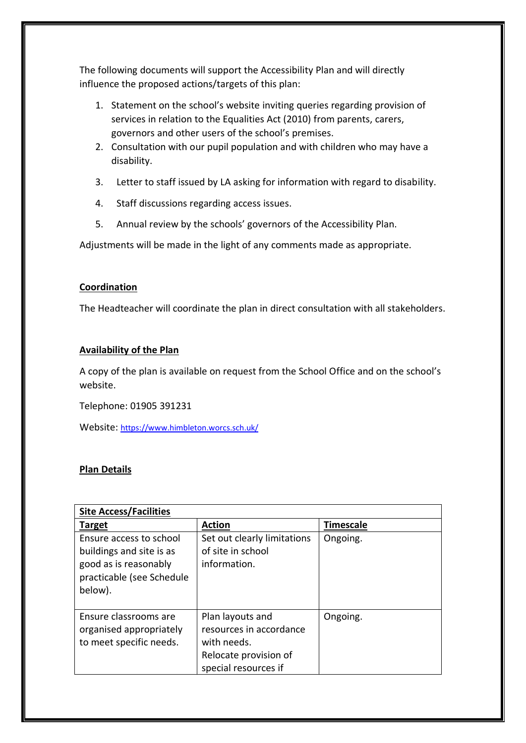The following documents will support the Accessibility Plan and will directly influence the proposed actions/targets of this plan:

- 1. Statement on the school's website inviting queries regarding provision of services in relation to the Equalities Act (2010) from parents, carers, governors and other users of the school's premises.
- 2. Consultation with our pupil population and with children who may have a disability.
- 3. Letter to staff issued by LA asking for information with regard to disability.
- 4. Staff discussions regarding access issues.
- 5. Annual review by the schools' governors of the Accessibility Plan.

Adjustments will be made in the light of any comments made as appropriate.

#### **Coordination**

The Headteacher will coordinate the plan in direct consultation with all stakeholders.

#### **Availability of the Plan**

A copy of the plan is available on request from the School Office and on the school's website.

Telephone: 01905 391231

Website: <https://www.himbleton.worcs.sch.uk/>

#### **Plan Details**

| <b>Site Access/Facilities</b>                                                                                        |                                                                                                             |                  |  |
|----------------------------------------------------------------------------------------------------------------------|-------------------------------------------------------------------------------------------------------------|------------------|--|
| <u>Target</u>                                                                                                        | <b>Action</b>                                                                                               | <b>Timescale</b> |  |
| Ensure access to school<br>buildings and site is as<br>good as is reasonably<br>practicable (see Schedule<br>below). | Set out clearly limitations<br>of site in school<br>information.                                            | Ongoing.         |  |
| Ensure classrooms are<br>organised appropriately<br>to meet specific needs.                                          | Plan layouts and<br>resources in accordance<br>with needs.<br>Relocate provision of<br>special resources if | Ongoing.         |  |